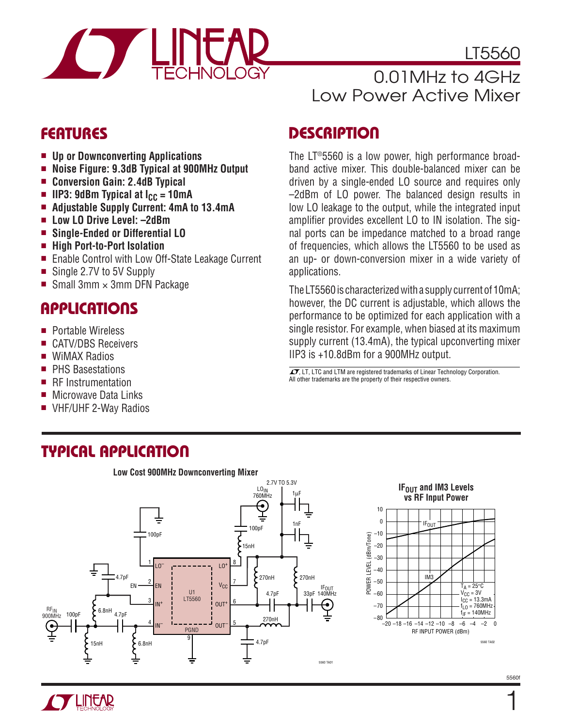

LT5560

### 0.01MHz to 4GHz Low Power Active Mixer

- **Up or Downconverting Applications**
- **Noise Figure: 9.3dB Typical at 900MHz Output**
- **Conversion Gain: 2.4dB Typical**
- **IIP3: 9dBm Typical at**  $I_{CC}$  **= 10mA**
- **Adiustable Supply Current: 4mA to 13.4mA**
- **Low LO Drive Level: –2dBm**
- **Single-Ended or Differential LO**
- **High Port-to-Port Isolation**
- Enable Control with Low Off-State Leakage Current
- Single 2.7V to 5V Supply
- Small 3mm  $\times$  3mm DFN Package

### **APPLICATIONS**

- Portable Wireless
- CATV/DBS Receivers
- WiMAX Radios
- PHS Basestations
- RF Instrumentation
- Microwave Data Links
- VHF/UHF 2-Way Radios

### **FEATURES DESCRIPTIO <sup>U</sup>**

The LT®5560 is a low power, high performance broadband active mixer. This double-balanced mixer can be driven by a single-ended LO source and requires only –2dBm of LO power. The balanced design results in low LO leakage to the output, while the integrated input amplifier provides excellent LO to IN isolation. The signal ports can be impedance matched to a broad range of frequencies, which allows the LT5560 to be used as an up- or down-conversion mixer in a wide variety of applications.

The LT5560 is characterized with a supply current of 10mA; however, the DC current is adjustable, which allows the performance to be optimized for each application with a single resistor. For example, when biased at its maximum supply current (13.4mA), the typical upconverting mixer IIP3 is +10.8dBm for a 900MHz output.

 $\sqrt{J}$ , LT, LTC and LTM are registered trademarks of Linear Technology Corporation. All other trademarks are the property of their respective owners.

### **TYPICAL APPLICATIO U**



#### **IF<sub>OUT</sub>** and IM3 Levels **vs RF Input Power**



1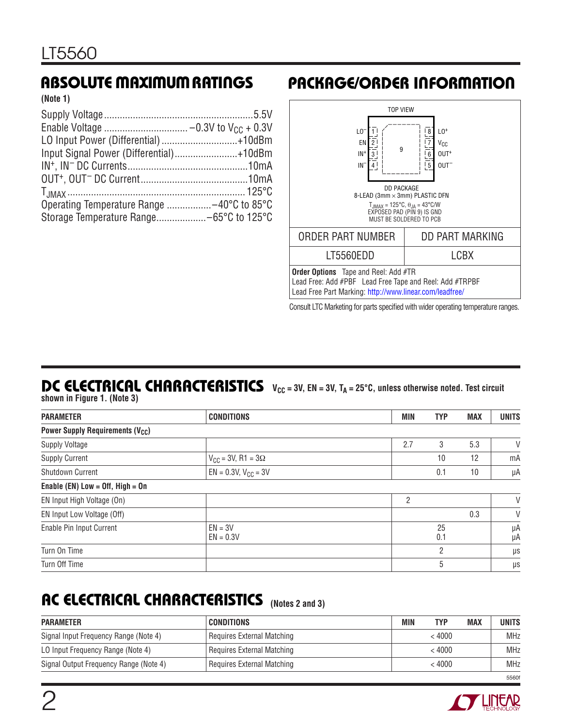**(Note 1)**

| LO Input Power (Differential) +10dBm    |
|-----------------------------------------|
| Input Signal Power (Differential)+10dBm |
|                                         |
|                                         |
|                                         |
|                                         |
|                                         |
|                                         |

### **ABSOLUTE MAXIMUM RATINGS PACKAGE/ORDER INFORMATION**



Consult LTC Marketing for parts specified with wider operating temperature ranges.

# **DC ELECTRICAL CHARACTERISTICS**  $V_{CC} = 3V$ , EN = 3V, T<sub>A</sub> = 25°C, unless otherwise noted. Test circuit

**shown in Figure 1. (Note 3)**

| <b>PARAMETER</b>                                  | <b>CONDITIONS</b>              | <b>MIN</b> | <b>TYP</b> | <b>MAX</b> | <b>UNITS</b> |
|---------------------------------------------------|--------------------------------|------------|------------|------------|--------------|
| <b>Power Supply Requirements (V<sub>CC</sub>)</b> |                                |            |            |            |              |
| <b>Supply Voltage</b>                             |                                | 2.7        | 3          | 5.3        | V            |
| <b>Supply Current</b>                             | $V_{CC}$ = 3V, R1 = 3 $\Omega$ |            | 10         | 12         | mA           |
| Shutdown Current                                  | $EN = 0.3V$ , $V_{CC} = 3V$    |            | 0.1        | 10         | μA           |
| Enable (EN) Low = $Off$ , High = $On$             |                                |            |            |            |              |
| EN Input High Voltage (On)                        |                                | 2          |            |            | V            |
| EN Input Low Voltage (Off)                        |                                |            |            | 0.3        | V            |
| Enable Pin Input Current                          | $EN = 3V$<br>$EN = 0.3V$       |            | 25<br>0.1  |            | μA<br>μA     |
| Turn On Time                                      |                                |            | 2          |            | μs           |
| Turn Off Time                                     |                                |            | 5          |            | μs           |

# **AC ELECTRICAL CHARACTERISTICS (Notes 2 and 3)**

| <b>PARAMETER</b>                       | <b>CONDITIONS</b>          | MIN | <b>TYP</b> | <b>MAX</b> | UNITS      |
|----------------------------------------|----------------------------|-----|------------|------------|------------|
| Signal Input Frequency Range (Note 4)  | Requires External Matching |     | < 4000     |            | <b>MHz</b> |
| LO Input Frequency Range (Note 4)      | Requires External Matching |     | < 4000     |            | <b>MHz</b> |
| Signal Output Frequency Range (Note 4) | Requires External Matching |     | < 4000     |            | <b>MHz</b> |
|                                        |                            |     |            |            | 55601      |

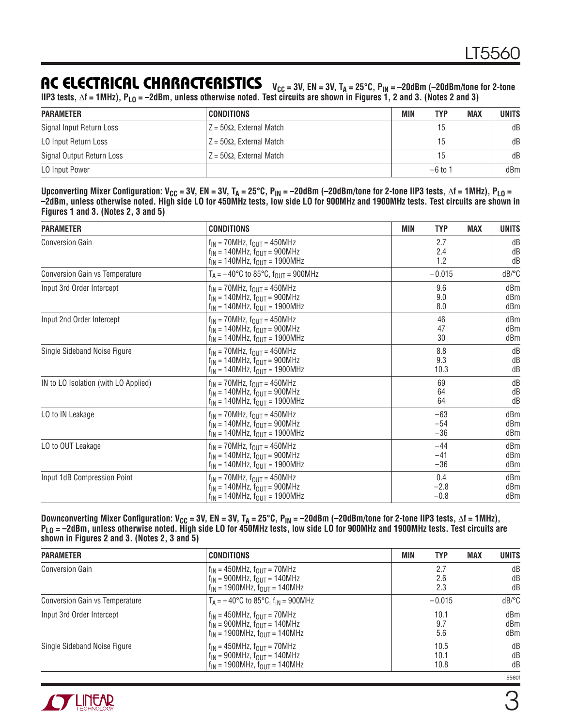### AC ELECTRICAL CHARACTERISTICS  $V_{CC} = 3V$ , EN = 3V, T<sub>A</sub> = 25°C, P<sub>IN</sub> = -20dBm (-20dBm/tone for 2-tone

**IIP3 tests,** Δ**f = 1MHz), PLO = –2dBm, unless otherwise noted. Test circuits are shown in Figures 1, 2 and 3. (Notes 2 and 3)**

| <b>PARAMETER</b>          | CONDITIONS                                  | <b>MAX</b><br>TYP<br>MIN | <b>UNITS</b> |
|---------------------------|---------------------------------------------|--------------------------|--------------|
| Signal Input Return Loss  | $\mathsf{Z}$ = 50 $\Omega$ . External Match | 15                       | dB           |
| LO Input Return Loss      | $ Z=50\Omega$ , External Match              | 15                       | dB           |
| Signal Output Return Loss | $\mathsf{Z}$ = 50 $\Omega$ . External Match | 15                       | dB           |
| LO Input Power            |                                             | $-6$ to 1                | dBm          |

Upconverting Mixer Configuration: V<sub>CC</sub> = 3V, EN = 3V, T<sub>A</sub> = 25°C, P<sub>IN</sub> = -20dBm (-20dBm/tone for 2-tone IIP3 tests, Δf = 1MHz), P<sub>LO</sub> = **–2dBm, unless otherwise noted. High side LO for 450MHz tests, low side LO for 900MHz and 1900MHz tests. Test circuits are shown in Figures 1 and 3. (Notes 2, 3 and 5)**

| <b>PARAMETER</b>                     | <b>CONDITIONS</b>                                            | <b>MIN</b><br><b>TYP</b><br><b>MAX</b> | <b>UNITS</b>          |
|--------------------------------------|--------------------------------------------------------------|----------------------------------------|-----------------------|
| <b>Conversion Gain</b>               | $f_{IN}$ = 70MHz, $f_{OUT}$ = 450MHz                         | 2.7                                    | dB                    |
|                                      | $f_{IN}$ = 140MHz, $f_{OUT}$ = 900MHz                        | 2.4                                    | dB                    |
|                                      | $f_{IN}$ = 140MHz, $f_{OUT}$ = 1900MHz                       | 1.2                                    | dB                    |
| Conversion Gain vs Temperature       | $T_A = -40^{\circ}C$ to 85 $^{\circ}C$ , $f_{OUT} = 900$ MHz | $-0.015$                               | $dB$ <sup>o</sup> $C$ |
| Input 3rd Order Intercept            | $f_{IN}$ = 70MHz, $f_{OUT}$ = 450MHz                         | 9.6                                    | dBm                   |
|                                      | $f_{IN}$ = 140MHz, $f_{OUIT}$ = 900MHz                       | 9.0                                    | dBm                   |
|                                      | $f_{IN}$ = 140MHz, $f_{OUT}$ = 1900MHz                       | 8.0                                    | dBm                   |
| Input 2nd Order Intercept            | $f_{IN}$ = 70MHz, $f_{OUT}$ = 450MHz                         | 46                                     | dBm                   |
|                                      | $f_{IN}$ = 140MHz, $f_{OUT}$ = 900MHz                        | 47                                     | dBm                   |
|                                      | $f_{IN}$ = 140MHz, $f_{OUT}$ = 1900MHz                       | 30                                     | dBm                   |
| Single Sideband Noise Figure         | $f_{IN}$ = 70MHz, $f_{OUT}$ = 450MHz                         | 8.8                                    | dB                    |
|                                      | $f_{IN}$ = 140MHz, $f_{OUT}$ = 900MHz                        | 9.3                                    | dB                    |
|                                      | $f_{IN}$ = 140MHz, $f_{OUT}$ = 1900MHz                       | 10.3                                   | dB                    |
| IN to LO Isolation (with LO Applied) | $f_{IN}$ = 70MHz, $f_{OUT}$ = 450MHz                         | 69                                     | dB                    |
|                                      | $f_{IN}$ = 140MHz, $f_{OIIT}$ = 900MHz                       | 64                                     | dB                    |
|                                      | $f_{IN}$ = 140MHz, $f_{OUIT}$ = 1900MHz                      | 64                                     | dB                    |
| LO to IN Leakage                     | $f_{IN}$ = 70MHz, $f_{OUT}$ = 450MHz                         | $-63$                                  | dBm                   |
|                                      | $f_{IN}$ = 140MHz, $f_{OUIT}$ = 900MHz                       | $-54$                                  | dBm                   |
|                                      | $f_{IN}$ = 140MHz, $f_{OUT}$ = 1900MHz                       | $-36$                                  | dBm                   |
| LO to OUT Leakage                    | $f_{IN}$ = 70MHz, $f_{OUT}$ = 450MHz                         | $-44$                                  | dBm                   |
|                                      | $f_{IN}$ = 140MHz, $f_{OIIT}$ = 900MHz                       | $-41$                                  | dBm                   |
|                                      | $f_{IN}$ = 140MHz, $f_{OUT}$ = 1900MHz                       | $-36$                                  | dBm                   |
| Input 1dB Compression Point          | $f_{IN}$ = 70MHz, $f_{OUT}$ = 450MHz                         | 0.4                                    | dBm                   |
|                                      | $f_{IN}$ = 140MHz, $f_{OUT}$ = 900MHz                        | $-2.8$                                 | dBm                   |
|                                      | $f_{IN}$ = 140MHz, $f_{OUT}$ = 1900MHz                       | $-0.8$                                 | dBm                   |

Downconverting Mixer Configuration: V<sub>CC</sub> = 3V, EN = 3V, T<sub>A</sub> = 25°C, P<sub>IN</sub> = –20dBm (–20dBm/tone for 2-tone IIP3 tests, ∆f = 1MHz), **PLO = –2dBm, unless otherwise noted. High side LO for 450MHz tests, low side LO for 900MHz and 1900MHz tests. Test circuits are shown in Figures 2 and 3. (Notes 2, 3 and 5)**

| <b>PARAMETER</b>               | <b>CONDITIONS</b>                                           | <b>MAX</b><br>MIN<br><b>TYP</b> | <b>UNITS</b>          |
|--------------------------------|-------------------------------------------------------------|---------------------------------|-----------------------|
| <b>Conversion Gain</b>         | $f_{IN}$ = 450MHz, $f_{OUIT}$ = 70MHz                       | 2.7                             | dB                    |
|                                | $f_{IN}$ = 900MHz, $f_{OUIT}$ = 140MHz                      | 2.6                             | dB                    |
|                                | $f_{IN}$ = 1900MHz, $f_{OUIT}$ = 140MHz                     | 2.3                             | dB                    |
| Conversion Gain vs Temperature | $T_A = -40^{\circ}C$ to 85 $^{\circ}C$ , $f_{IN} = 900$ MHz | $-0.015$                        | $dB$ <sup>o</sup> $C$ |
| Input 3rd Order Intercept      | $f_{IN}$ = 450MHz, $f_{OII}$ = 70MHz                        | 10.1                            | dBm                   |
|                                | $f_{IN}$ = 900MHz, $f_{OUIT}$ = 140MHz                      | 9.7                             | dBm                   |
|                                | $f_{IN}$ = 1900MHz, $f_{OUIT}$ = 140MHz                     | 5.6                             | dBm                   |
| Single Sideband Noise Figure   | $f_{IN}$ = 450MHz, $f_{OUT}$ = 70MHz                        | 10.5                            | dB                    |
|                                | $f_{IN}$ = 900MHz, $f_{OUIT}$ = 140MHz                      | 10.1                            | dB                    |
|                                | $f_{IN}$ = 1900MHz, $f_{OUIT}$ = 140MHz                     | 10.8                            | dB                    |



5560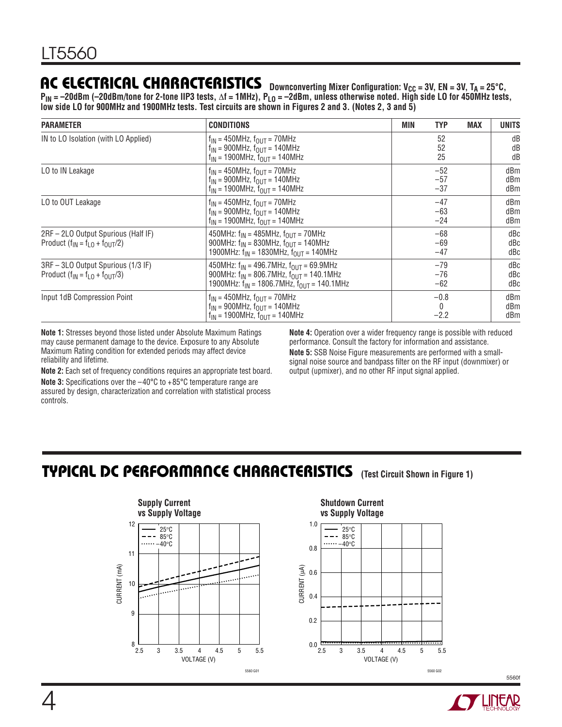### AC ELECTRICAL CHARACTERISTICS Downconverting Mixer Configuration: V<sub>CC</sub> = 3V, EN = 3V, T<sub>A</sub> = 25°C,

**PIN = –20dBm (–20dBm/tone for 2-tone IIP3 tests,** Δ**f = 1MHz), PLO = –2dBm, unless otherwise noted. High side LO for 450MHz tests, low side LO for 900MHz and 1900MHz tests. Test circuits are shown in Figures 2 and 3. (Notes 2, 3 and 5)**

| <b>PARAMETER</b>                                                                                    | <b>CONDITIONS</b>                                                                                                                                              | <b>MIN</b> | <b>TYP</b><br><b>MAX</b>         | <b>UNITS</b>      |
|-----------------------------------------------------------------------------------------------------|----------------------------------------------------------------------------------------------------------------------------------------------------------------|------------|----------------------------------|-------------------|
| IN to LO Isolation (with LO Applied)                                                                | $f_{IN}$ = 450MHz, $f_{OUT}$ = 70MHz<br>$f_{IN}$ = 900MHz, $f_{OUIT}$ = 140MHz<br>$f_{IN}$ = 1900MHz, $f_{OUT}$ = 140MHz                                       |            | 52<br>52<br>25                   | dB<br>dB<br>dB    |
| LO to IN Leakage                                                                                    | $f_{IN}$ = 450MHz, $f_{OII}$ = 70MHz<br>$f_{IN}$ = 900MHz, $f_{OUIT}$ = 140MHz<br>$f_{IN}$ = 1900MHz, $f_{OUIT}$ = 140MHz                                      |            | $-52$<br>$-57$<br>$-37$          | dBm<br>dBm<br>dBm |
| LO to OUT Leakage                                                                                   | $f_{IN}$ = 450MHz, $f_{OII}$ = 70MHz<br>$f_{IN}$ = 900MHz, $f_{OII}$ = 140MHz<br>$f_{IN}$ = 1900MHz, $f_{OUT}$ = 140MHz                                        |            | $-47$<br>$-63$<br>$-24$          | dBm<br>dBm<br>dBm |
| 2RF - 2LO Output Spurious (Half IF)<br>Product $(f_{\parallel N} = f_{\perp 0} + f_{\text{OUT}}/2)$ | 450MHz: $f_{IN} = 485$ MHz, $f_{OIII} = 70$ MHz<br>900MHz: $f_{IN} = 830$ MHz, $f_{OUT} = 140$ MHz<br>1900MHz: $f_{IN}$ = 1830MHz, $f_{OUIT}$ = 140MHz         |            | $-68$<br>$-69$<br>$-47$          | dBc<br>dBc<br>dBc |
| 3RF - 3LO Output Spurious (1/3 IF)<br>Product $(f_{IN} = f_{LO} + f_{OUT}/3)$                       | 450MHz: $f_{IN}$ = 496.7MHz, $f_{OUT}$ = 69.9MHz<br>900MHz: $f_{IN}$ = 806.7MHz, $f_{OIII}$ = 140.1MHz<br>1900MHz: $f_{IN}$ = 1806.7MHz, $f_{OUIT}$ = 140.1MHz |            | $-79$<br>$-76$<br>$-62$          | dBc<br>dBc<br>dBc |
| Input 1dB Compression Point                                                                         | $f_{IN}$ = 450MHz, $f_{OUT}$ = 70MHz<br>$f_{IN} = 900MHz$ , $f_{OUT} = 140MHz$<br>$f_{IN}$ = 1900MHz, $f_{OUIT}$ = 140MHz                                      |            | $-0.8$<br>$\mathbf{0}$<br>$-2.2$ | dBm<br>dBm<br>dBm |

**Note 1:** Stresses beyond those listed under Absolute Maximum Ratings may cause permanent damage to the device. Exposure to any Absolute Maximum Rating condition for extended periods may affect device reliability and lifetime.

**Note 2:** Each set of frequency conditions requires an appropriate test board. **Note 3:** Specifications over the  $-40^{\circ}$ C to  $+85^{\circ}$ C temperature range are assured by design, characterization and correlation with statistical process controls.

**Note 4:** Operation over a wider frequency range is possible with reduced performance. Consult the factory for information and assistance.

**Note 5:** SSB Noise Figure measurements are performed with a smallsignal noise source and bandpass filter on the RF input (downmixer) or output (upmixer), and no other RF input signal applied.

### **TYPICAL DC PERFORMANCE CHARACTERISTICS** (Test Circuit Shown in Figure 1)



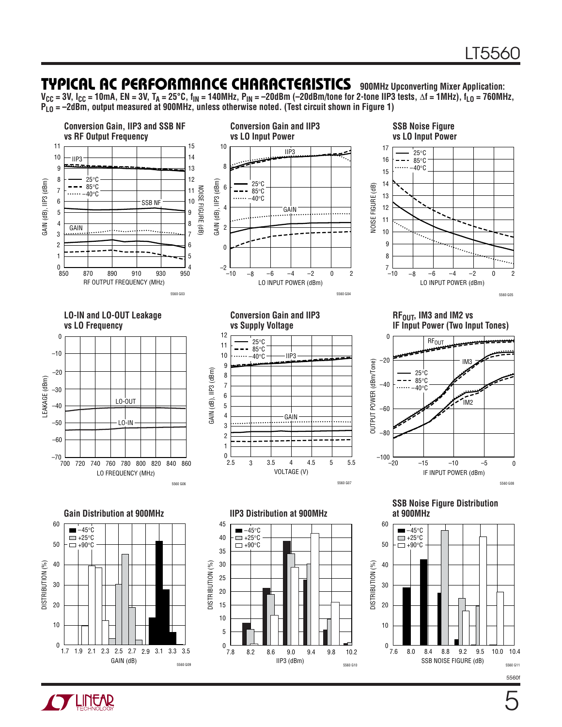### **TYPICAL AC PERFORMANCE CHARACTERISTICS** 900MHz Upconverting Mixer Application:

**VCC = 3V, ICC = 10mA, EN = 3V, TA = 25°C, fIN = 140MHz, PIN = –20dBm (–20dBm/tone for 2-tone IIP3 tests,** Δ**f = 1MHz), fLO = 760MHz, PLO = –2dBm, output measured at 900MHz, unless otherwise noted. (Test circuit shown in Figure 1)** 



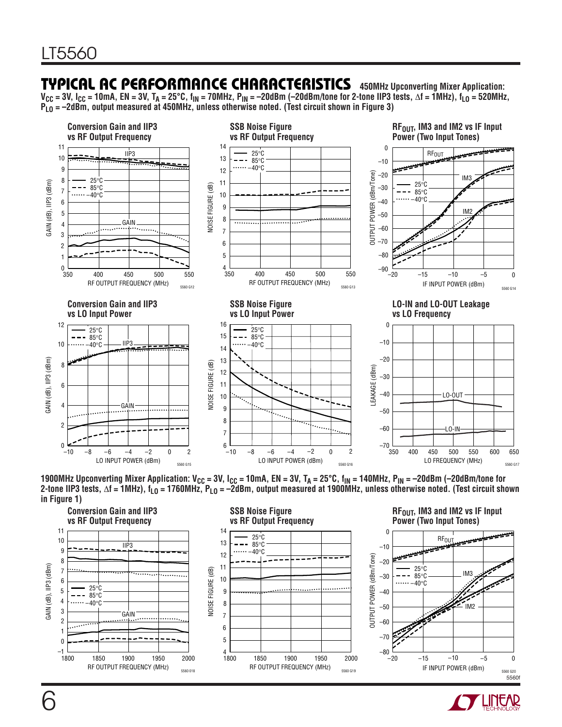### **TYPICAL AC PERFORMANCE CHARACTERISTICS** 450MHz Upconverting Mixer Application:

**VCC = 3V, ICC = 10mA, EN = 3V, TA = 25°C, fIN = 70MHz, PIN = –20dBm (–20dBm/tone for 2-tone IIP3 tests,** Δ**f = 1MHz), fLO = 520MHz, PLO = –2dBm, output measured at 450MHz, unless otherwise noted. (Test circuit shown in Figure 3)** 



1900MHz Upconverting Mixer Application: V<sub>CC</sub> = 3V, I<sub>CC</sub> = 10mA, EN = 3V, T<sub>A</sub> = 25°C, f<sub>IN</sub> = 140MHz, P<sub>IN</sub> = –20dBm (–20dBm/tone for **2-tone IIP3 tests,** Δ**f = 1MHz), fLO = 1760MHz, PLO = –2dBm, output measured at 1900MHz, unless otherwise noted. (Test circuit shown in Figure 1)** 



RF<sub>OUT</sub>, IM3 and IM2 vs IF Input **Power (Two Input Tones)**



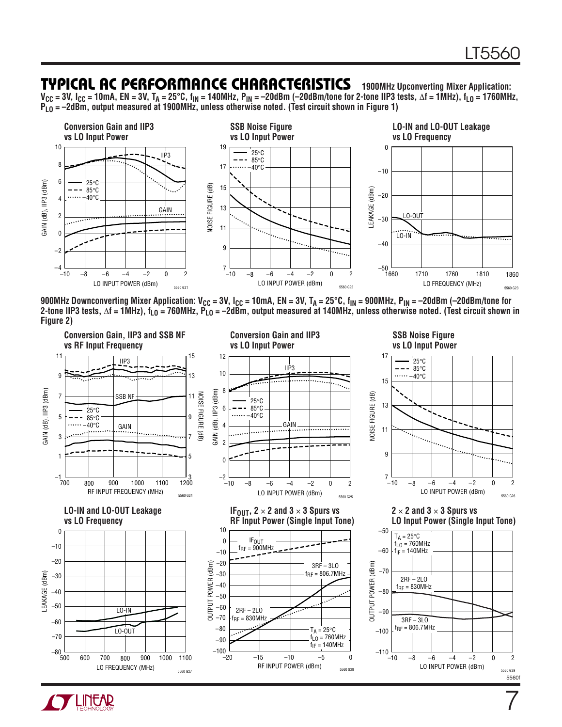7

### **TYPICAL AC PERFORMANCE CHARACTERISTICS 1900MHz Upconverting Mixer Application:**

**VCC = 3V, ICC = 10mA, EN = 3V, TA = 25°C, fIN = 140MHz, PIN = –20dBm (–20dBm/tone for 2-tone IIP3 tests,** Δ**f = 1MHz), fLO = 1760MHz, PLO = –2dBm, output measured at 1900MHz, unless otherwise noted. (Test circuit shown in Figure 1)** 



900MHz Downconverting Mixer Application: V<sub>CC</sub> = 3V, I<sub>CC</sub> = 10mA, EN = 3V, T<sub>A</sub> = 25°C, f<sub>IN</sub> = 900MHz, P<sub>IN</sub> = –20dBm (–20dBm/tone for **2-tone IIP3 tests,** Δ**f = 1MHz), fLO = 760MHz, PLO = –2dBm, output measured at 140MHz, unless otherwise noted. (Test circuit shown in Figure 2)** 



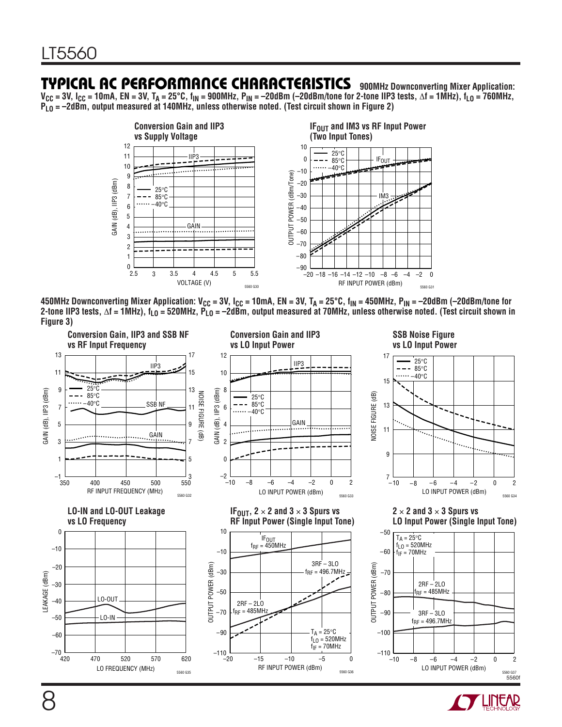### **TYPICAL AC PERFORMANCE CHARACTERISTICS 900MHz Downconverting Mixer Application:**

**VCC = 3V, ICC = 10mA, EN = 3V, TA = 25°C, fIN = 900MHz, PIN = –20dBm (–20dBm/tone for 2-tone IIP3 tests,** Δ**f = 1MHz), fLO = 760MHz, PLO = –2dBm, output measured at 140MHz, unless otherwise noted. (Test circuit shown in Figure 2)** 



450MHz Downconverting Mixer Application: V<sub>CC</sub> = 3V, I<sub>CC</sub> = 10mA, EN = 3V, T<sub>A</sub> = 25°C, f<sub>IN</sub> = 450MHz, P<sub>IN</sub> = –20dBm (–20dBm/tone for **2-tone IIP3 tests,** Δ**f = 1MHz), fLO = 520MHz, PLO = –2dBm, output measured at 70MHz, unless otherwise noted. (Test circuit shown in Figure 3)** 



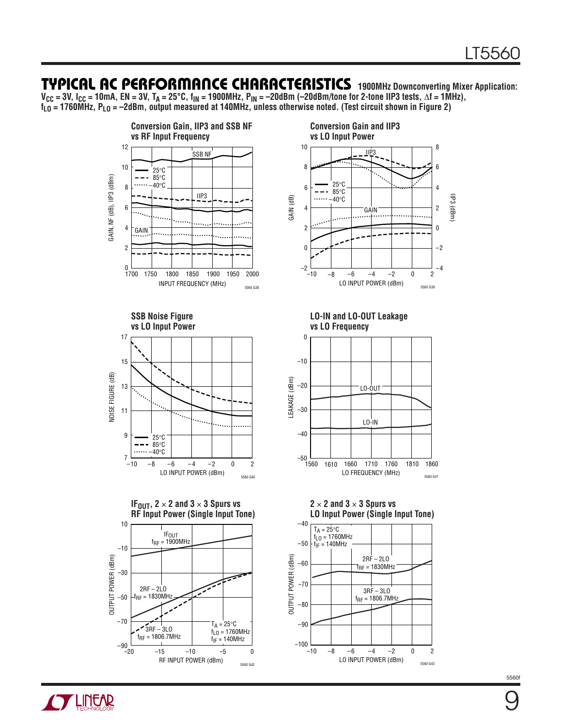### **TYPICAL AC PERFOR A CE CHARACTERISTICS U W 1900MHz Downconverting Mixer Application:**

**VCC = 3V, ICC = 10mA, EN = 3V, TA = 25°C, fIN = 1900MHz, PIN = –20dBm (–20dBm/tone for 2-tone IIP3 tests,** Δ**f = 1MHz), fLO = 1760MHz, PLO = –2dBm, output measured at 140MHz, unless otherwise noted. (Test circuit shown in Figure 2)** 



5560 G42



**LO-IN and LO-OUT Leakage vs LO Frequency**



**2** × **2 and 3** × **3 Spurs vs LO Input Power (Single Input Tone)**

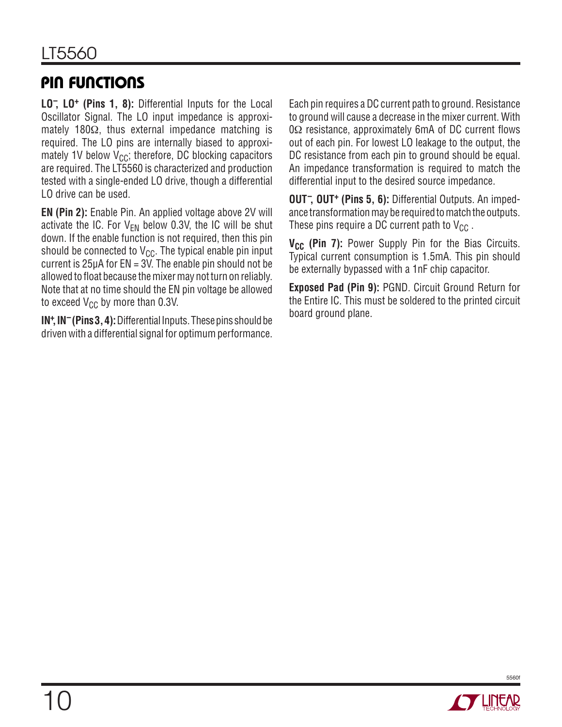## **PIN FUNCTIONS**

**LO– , LO+ (Pins 1, 8):** Differential Inputs for the Local Oscillator Signal. The LO input impedance is approximately 180Ω, thus external impedance matching is required. The LO pins are internally biased to approximately 1V below  $V_{CC}$ ; therefore, DC blocking capacitors are required. The LT5560 is characterized and production tested with a single-ended LO drive, though a differential LO drive can be used.

**EN (Pin 2):** Enable Pin. An applied voltage above 2V will activate the IC. For  $V_{FN}$  below 0.3V, the IC will be shut down. If the enable function is not required, then this pin should be connected to  $V_{CC}$ . The typical enable pin input current is  $25\mu A$  for EN = 3V. The enable pin should not be allowed to float because the mixer may not turn on reliably. Note that at no time should the EN pin voltage be allowed to exceed  $V_{CC}$  by more than 0.3V.

**IN+ , IN– (Pins 3, 4):** Differential Inputs. These pins should be driven with a differential signal for optimum performance.

Each pin requires a DC current path to ground. Resistance to ground will cause a decrease in the mixer current. With  $0\Omega$  resistance, approximately 6mA of DC current flows out of each pin. For lowest LO leakage to the output, the DC resistance from each pin to ground should be equal. An impedance transformation is required to match the differential input to the desired source impedance.

**OUT– , OUT+ (Pins 5, 6):** Differential Outputs. An impedance transformation may be required to match the outputs. These pins require a DC current path to  $V_{CC}$ .

**V<sub>CC</sub>** (Pin 7): Power Supply Pin for the Bias Circuits. Typical current consumption is 1.5mA. This pin should be externally bypassed with a 1nF chip capacitor.

**Exposed Pad (Pin 9):** PGND. Circuit Ground Return for the Entire IC. This must be soldered to the printed circuit board ground plane.

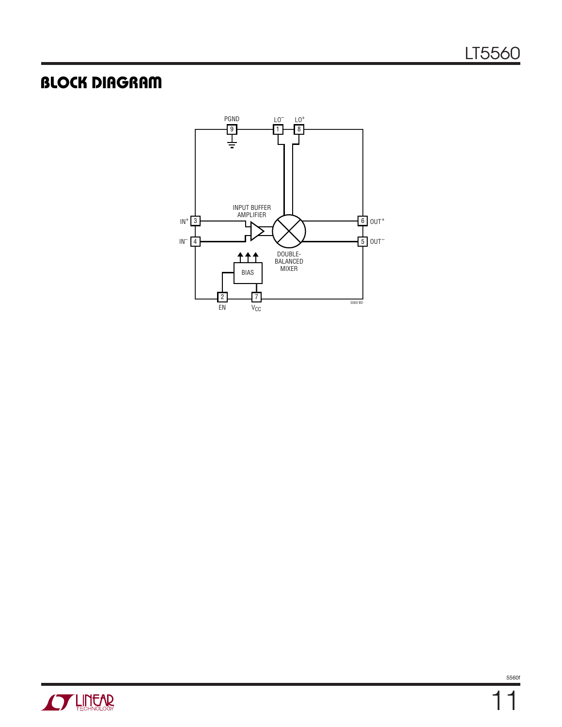# **BLOCK DIAGRAM**



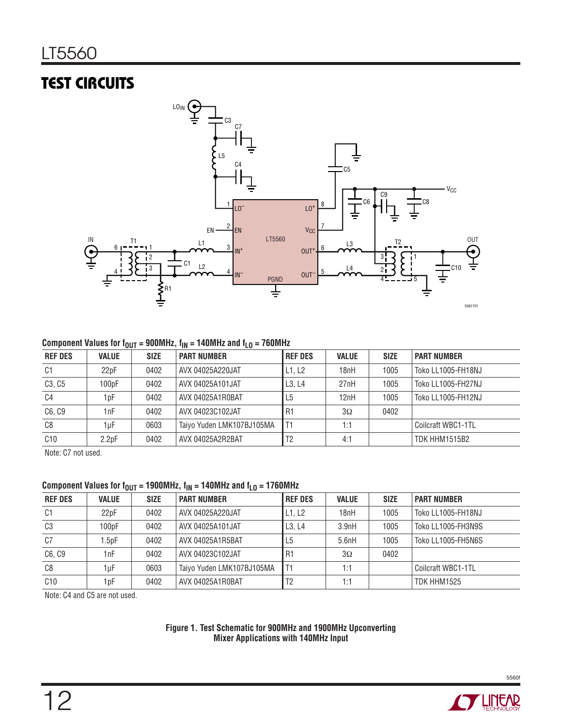# **TEST CIRCUITS**



#### Component Values for  $f_{OUT} = 900 MHz$ ,  $f_{IN} = 140 MHz$  and  $f_{LO} = 760 MHz$

| <b>REF DES</b> | <b>VALUE</b>       | <b>SIZE</b> | <b>PART NUMBER</b>        | <b>REF DES</b> | <b>VALUE</b> | <b>SIZE</b> | <b>PART NUMBER</b>   |
|----------------|--------------------|-------------|---------------------------|----------------|--------------|-------------|----------------------|
| C <sub>1</sub> | 22pF               | 0402        | AVX 04025A220JAT          | L1, L2         | 18nH         | 1005        | Toko LL1005-FH18NJ   |
| C3, C5         | 100 <sub>pF</sub>  | 0402        | AVX 04025A101JAT          | L3. L4         | 27nH         | 1005        | Toko LL1005-FH27NJ   |
| C4             | 1 pF               | 0402        | AVX 04025A1R0BAT          | L <sub>5</sub> | 12nH         | 1005        | Toko LL1005-FH12NJ   |
| C6, C9         | 1nF                | 0402        | AVX 04023C102JAT          | ' R1           | $3\Omega$    | 0402        |                      |
| C8             | 1uF                | 0603        | Taiyo Yuden LMK107BJ105MA |                | 1:1          |             | Coilcraft WBC1-1TL   |
| C10            | 2.2 <sub>D</sub> F | 0402        | AVX 04025A2R2BAT          | T <sub>2</sub> | 4:1          |             | <b>TDK HHM1515B2</b> |

Note: C7 not used.

#### Component Values for  $f_{OUT} = 1900MHz$ ,  $f_{IN} = 140MHz$  and  $f_{LO} = 1760MHz$

| <b>REF DES</b> | <b>VALUE</b>      | <b>SIZE</b> | <b>PART NUMBER</b>        | <b>REF DES</b> | <b>VALUE</b> | <b>SIZE</b> | <b>PART NUMBER</b> |
|----------------|-------------------|-------------|---------------------------|----------------|--------------|-------------|--------------------|
| C1             | 22pF              | 0402        | AVX 04025A220JAT          | L1. L2         | 18nH         | 1005        | Toko LL1005-FH18NJ |
| C <sub>3</sub> | 100pF             | 0402        | AVX 04025A101JAT          | L3. L4         | 3.9nH        | 1005        | Toko LL1005-FH3N9S |
| C7             | .5 <sub>D</sub> F | 0402        | AVX 04025A1R5BAT          | L <sub>5</sub> | 5.6nH        | 1005        | Toko LL1005-FH5N6S |
| C6, C9         | 1nF               | 0402        | AVX 04023C102JAT          | R1             | $3\Omega$    | 0402        |                    |
| C8             | 1µF               | 0603        | Taiyo Yuden LMK107BJ105MA |                | 1:1          |             | Coilcraft WBC1-1TL |
| C10            | 1 pF              | 0402        | AVX 04025A1R0BAT          | T <sub>2</sub> | 1:1          |             | TDK HHM1525        |

Note: C4 and C5 are not used.

#### **Figure 1. Test Schematic for 900MHz and 1900MHz Upconverting Mixer Applications with 140MHz Input**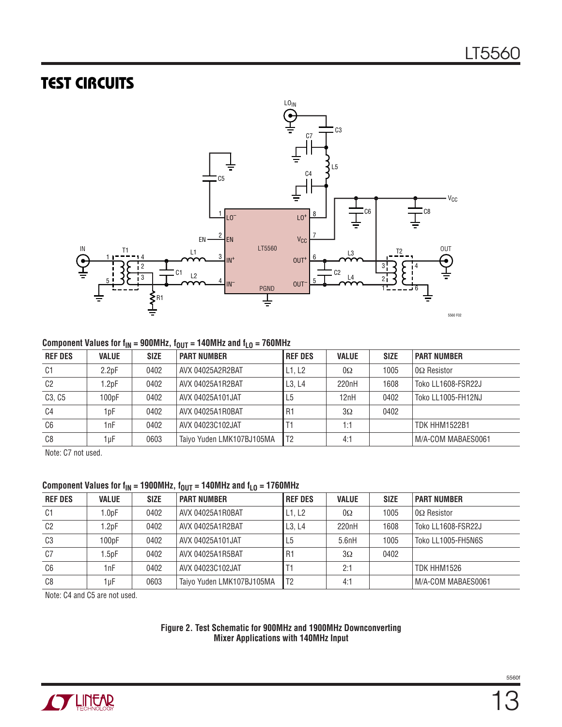### **TEST CIRCUITS**



#### Component Values for  $f_{IN}$  = 900MHz,  $f_{OUT}$  = 140MHz and  $f_{LO}$  = 760MHz

| <b>REF DES</b> | <b>VALUE</b>       | <b>SIZE</b> | <b>PART NUMBER</b>        | <b>REF DES</b> | <b>VALUE</b> | <b>SIZE</b> | <b>PART NUMBER</b>   |  |
|----------------|--------------------|-------------|---------------------------|----------------|--------------|-------------|----------------------|--|
| C <sub>1</sub> | 2.2 <sub>D</sub> F | 0402        | AVX 04025A2R2BAT          | L1, L2         | $0\Omega$    | 1005        | $0\Omega$ Resistor   |  |
| C <sub>2</sub> | $1.2$ pF           | 0402        | AVX 04025A1R2BAT          | L3. L4         | 220nH        | 1608        | Toko LL1608-FSR22J   |  |
| C3, C5         | 100 <sub>D</sub> F | 0402        | AVX 04025A101JAT          | L5             | 12nH         | 0402        | Toko LL1005-FH12NJ   |  |
| C4             | 1 pF               | 0402        | AVX 04025A1R0BAT          | R <sub>1</sub> | $3\Omega$    | 0402        |                      |  |
| C6             | 1nF                | 0402        | AVX 04023C102JAT          |                | 1:1          |             | <b>TDK HHM1522B1</b> |  |
| C8             | 1uF                | 0603        | Taiyo Yuden LMK107BJ105MA | l T2           | 4:1          |             | M/A-COM MABAES0061   |  |

Note: C7 not used.

#### Component Values for  $f_{IN}$  = 1900MHz,  $f_{OUT}$  = 140MHz and  $f_{LO}$  = 1760MHz

| <b>REF DES</b> | <b>VALUE</b> | <b>SIZE</b> | <b>PART NUMBER</b>        | <b>REF DES</b> | <b>VALUE</b> | <b>SIZE</b> | <b>PART NUMBER</b> |
|----------------|--------------|-------------|---------------------------|----------------|--------------|-------------|--------------------|
| C1             | 1.0pF        | 0402        | AVX 04025A1R0BAT          | L1, L2         | $0\Omega$    | 1005        | $0\Omega$ Resistor |
| C <sub>2</sub> | $1.2$ pF     | 0402        | AVX 04025A1R2BAT          | L3. L4         | 220nH        | 1608        | Toko LL1608-FSR22J |
| C <sub>3</sub> | 100pF        | 0402        | AVX 04025A101JAT          | L <sub>5</sub> | 5.6nH        | 1005        | Toko LL1005-FH5N6S |
| C7             | $.5$ pF      | 0402        | AVX 04025A1R5BAT          | R <sub>1</sub> | $3\Omega$    | 0402        |                    |
| C6             | 1nF          | 0402        | AVX 04023C102JAT          |                | 2:1          |             | TDK HHM1526        |
| C8             | 1uF          | 0603        | Taiyo Yuden LMK107BJ105MA | l T2           | 4:1          |             | M/A-COM MABAES0061 |

Note: C4 and C5 are not used.

#### **Figure 2. Test Schematic for 900MHz and 1900MHz Downconverting Mixer Applications with 140MHz Input**

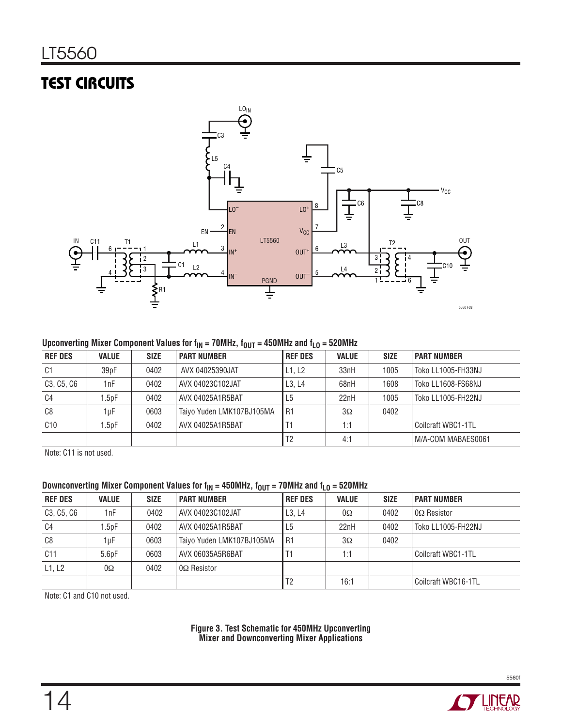# **TEST CIRCUITS**



#### Upconverting Mixer Component Values for  $f_{IN}$  = 70MHz,  $f_{OUT}$  = 450MHz and  $f_{LO}$  = 520MHz

| <b>REF DES</b> | <b>VALUE</b>      | <b>SIZE</b> | <b>PART NUMBER</b>        | <b>REF DES</b> | <b>VALUE</b> | <b>SIZE</b> | <b>PART NUMBER</b> |
|----------------|-------------------|-------------|---------------------------|----------------|--------------|-------------|--------------------|
| C <sub>1</sub> | 39pF              | 0402        | AVX 04025390JAT           | L1, L2         | 33nH         | 1005        | Toko LL1005-FH33NJ |
| C3, C5, C6     | 1nF               | 0402        | AVX 04023C102JAT          | L3. L4         | 68nH         | 1608        | Toko LL1608-FS68NJ |
| C4             | .5 <sub>D</sub> F | 0402        | AVX 04025A1R5BAT          | L5             | 22nH         | 1005        | Toko LL1005-FH22NJ |
| C8             | 1uF               | 0603        | Taiyo Yuden LMK107BJ105MA | I R1           | $3\Omega$    | 0402        |                    |
| C10            | .5 <sub>D</sub> F | 0402        | AVX 04025A1R5BAT          |                | 1:1          |             | Coilcraft WBC1-1TL |
|                |                   |             |                           | T <sub>2</sub> | 4:1          |             | M/A-COM MABAES0061 |

Note: C11 is not used.

#### Downconverting Mixer Component Values for  $f_{\text{IN}} = 450$ MHz,  $f_{\text{OUT}} = 70$ MHz and  $f_{\text{LO}} = 520$ MHz

|                                                  |              |             | .                         |                |              |             |                     |
|--------------------------------------------------|--------------|-------------|---------------------------|----------------|--------------|-------------|---------------------|
| <b>REF DES</b>                                   | <b>VALUE</b> | <b>SIZE</b> | <b>PART NUMBER</b>        | <b>REF DES</b> | <b>VALUE</b> | <b>SIZE</b> | <b>PART NUMBER</b>  |
| C <sub>3</sub> , C <sub>5</sub> , C <sub>6</sub> | 1nF          | 0402        | AVX 04023C102JAT          | L3. L4         | $0\Omega$    | 0402        | $0\Omega$ Resistor  |
| C4                                               | $1.5$ p $F$  | 0402        | AVX 04025A1R5BAT          | L <sub>5</sub> | 22nH         | 0402        | Toko LL1005-FH22NJ  |
| C8                                               | 1uF          | 0603        | Taiyo Yuden LMK107BJ105MA | R1             | $3\Omega$    | 0402        |                     |
| C11                                              | 5.6pF        | 0603        | AVX 06035A5R6BAT          |                | 1:1          |             | Coilcraft WBC1-1TL  |
| L1. L2                                           | $0\Omega$    | 0402        | $0\Omega$ Resistor        |                |              |             |                     |
|                                                  |              |             |                           | T <sub>2</sub> | 16:1         |             | Coilcraft WBC16-1TL |

Note: C1 and C10 not used.

**Figure 3. Test Schematic for 450MHz Upconverting Mixer and Downconverting Mixer Applications**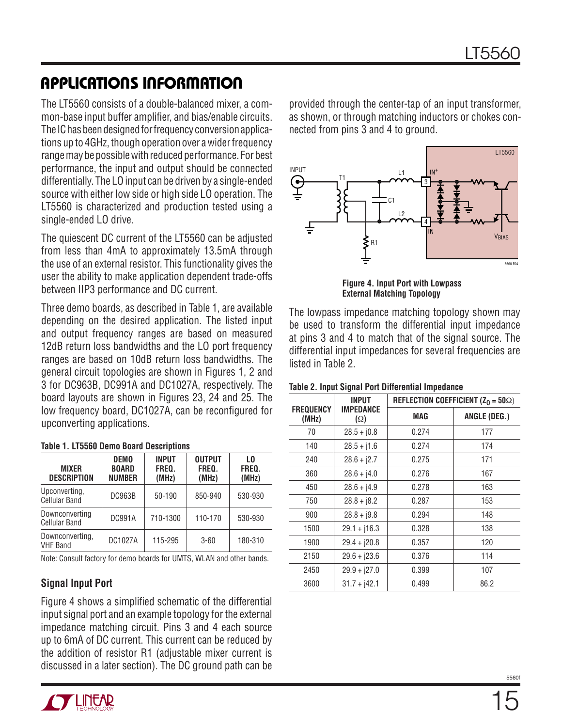The LT5560 consists of a double-balanced mixer, a common-base input buffer amplifier, and bias/enable circuits. The IC has been designed for frequency conversion applications up to 4GHz, though operation over a wider frequency range may be possible with reduced performance. For best performance, the input and output should be connected differentially. The LO input can be driven by a single-ended source with either low side or high side LO operation. The LT5560 is characterized and production tested using a single-ended LO drive.

The quiescent DC current of the LT5560 can be adjusted from less than 4mA to approximately 13.5mA through the use of an external resistor. This functionality gives the user the ability to make application dependent trade-offs between IIP3 performance and DC current.

Three demo boards, as described in Table 1, are available depending on the desired application. The listed input and output frequency ranges are based on measured 12dB return loss bandwidths and the LO port frequency ranges are based on 10dB return loss bandwidths. The general circuit topologies are shown in Figures 1, 2 and 3 for DC963B, DC991A and DC1027A, respectively. The board layouts are shown in Figures 23, 24 and 25. The low frequency board, DC1027A, can be reconfigured for upconverting applications.

| <b>MIXER</b><br><b>DESCRIPTION</b>     | <b>DEMO</b><br><b>BOARD</b><br><b>NUMBER</b> | <b>INPUT</b><br>FREQ.<br>(MHz) | <b>OUTPUT</b><br>FREQ.<br>(MHz) | L <sub>0</sub><br>FREQ.<br>(MHz) |
|----------------------------------------|----------------------------------------------|--------------------------------|---------------------------------|----------------------------------|
| Upconverting,<br><b>Cellular Band</b>  | <b>DC963B</b>                                | 50-190                         | 850-940                         | 530-930                          |
| Downconverting<br><b>Cellular Band</b> | <b>DC991A</b>                                | 710-1300                       | 110-170                         | 530-930                          |
| Downconverting.<br><b>VHF Band</b>     | DC1027A                                      | 115-295                        | $3 - 60$                        | 180-310                          |

**Table 1. LT5560 Demo Board Descriptions**

Note: Consult factory for demo boards for UMTS, WLAN and other bands.

### **Signal Input Port**

Figure 4 shows a simplified schematic of the differential input signal port and an example topology for the external impedance matching circuit. Pins 3 and 4 each source up to 6mA of DC current. This current can be reduced by the addition of resistor R1 (adjustable mixer current is discussed in a later section). The DC ground path can be

provided through the center-tap of an input transformer, as shown, or through matching inductors or chokes connected from pins 3 and 4 to ground.



**Figure 4. Input Port with Lowpass External Matching Topology**

The lowpass impedance matching topology shown may be used to transform the differential input impedance at pins 3 and 4 to match that of the signal source. The differential input impedances for several frequencies are listed in Table 2.

|                           | <b>INPUT</b>                   | REFLECTION COEFFICIENT ( $Z_0 = 50\Omega$ ) |              |  |  |
|---------------------------|--------------------------------|---------------------------------------------|--------------|--|--|
| <b>FREQUENCY</b><br>(MHz) | <b>IMPEDANCE</b><br>$(\Omega)$ | <b>MAG</b>                                  | ANGLE (DEG.) |  |  |
| 70                        | $28.5 + j0.8$                  | 0.274                                       | 177          |  |  |
| 140                       | $28.5 + i1.6$                  | 0.274                                       | 174          |  |  |
| 240                       | $28.6 + i2.7$                  | 0.275                                       | 171          |  |  |
| 360                       | $28.6 + j4.0$                  | 0.276                                       | 167          |  |  |
| 450                       | $28.6 + 14.9$                  | 0.278                                       | 163          |  |  |
| 750                       | $28.8 + 18.2$                  | 0.287                                       | 153          |  |  |
| 900                       | $28.8 + j9.8$                  | 0.294                                       | 148          |  |  |
| 1500                      | $29.1 + j16.3$                 | 0.328                                       | 138          |  |  |
| 1900                      | $29.4 + j20.8$                 | 0.357                                       | 120          |  |  |
| 2150                      | $29.6 + j23.6$                 | 0.376                                       | 114          |  |  |
| 2450                      | $29.9 + j27.0$                 | 0.399                                       | 107          |  |  |
| 3600                      | $31.7 + j42.1$                 | 0.499                                       | 86.2         |  |  |

#### **Table 2. Input Signal Port Differential Impedance**

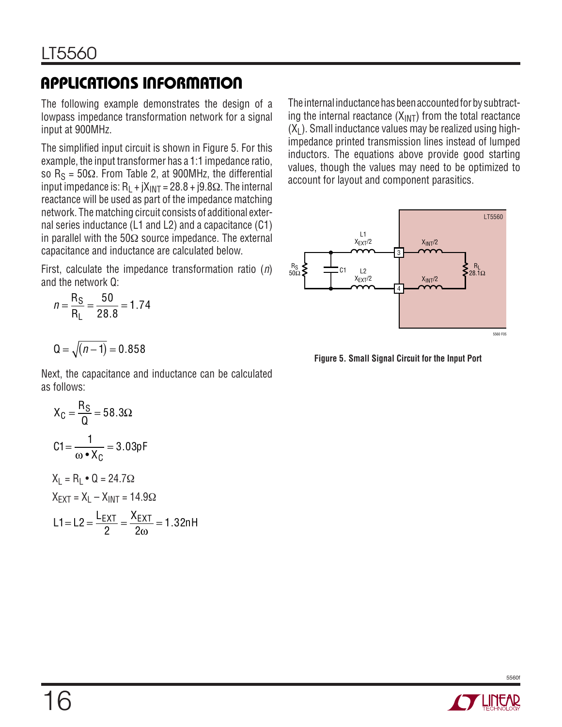The following example demonstrates the design of a lowpass impedance transformation network for a signal input at 900MHz.

The simplified input circuit is shown in Figure 5. For this example, the input transformer has a 1:1 impedance ratio, so  $R_S = 50\Omega$ . From Table 2, at 900MHz, the differential input impedance is:  $R_1 + jX_{INT} = 28.8 + j9.8\Omega$ . The internal reactance will be used as part of the impedance matching network. The matching circuit consists of additional external series inductance (L1 and L2) and a capacitance (C1) in parallel with the 50 $\Omega$  source impedance. The external capacitance and inductance are calculated below.

First, calculate the impedance transformation ratio  $(n)$ and the network Q:

$$
n = \frac{R_S}{R_L} = \frac{50}{28.8} = 1.74
$$

$$
Q=\sqrt{(n-1)}=0.858
$$

Next, the capacitance and inductance can be calculated as follows:

$$
X_C = \frac{R_S}{Q} = 58.3\Omega
$$
  
\n
$$
C1 = \frac{1}{\omega \cdot X_C} = 3.03pF
$$
  
\n
$$
X_L = R_L \cdot Q = 24.7\Omega
$$
  
\n
$$
X_{EXT} = X_L - X_{INT} = 14.9\Omega
$$
  
\n
$$
L1 = L2 = \frac{L_{EXT}}{2} = \frac{X_{EXT}}{2\omega} = 1.32nH
$$

 $2\omega$ 

The internal inductance has been accounted for by subtracting the internal reactance  $(X_{\text{INT}})$  from the total reactance  $(X<sub>l</sub>)$ . Small inductance values may be realized using highimpedance printed transmission lines instead of lumped inductors. The equations above provide good starting values, though the values may need to be optimized to account for layout and component parasitics.



**Figure 5. Small Signal Circuit for the Input Port**

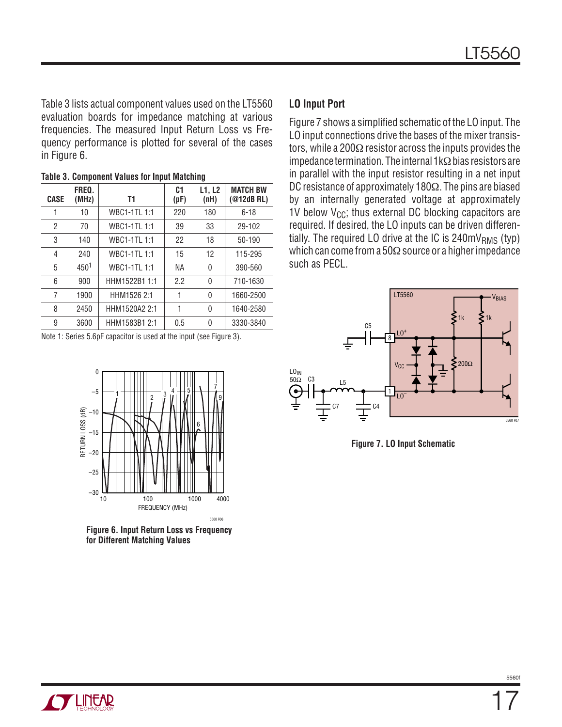Table 3 lists actual component values used on the LT5560 evaluation boards for impedance matching at various frequencies. The measured Input Return Loss vs Frequency performance is plotted for several of the cases in Figure 6.

| <b>CASE</b> | FREQ.<br>(MHz) | T1                 | C <sub>1</sub><br>(pF) | L1, L2<br>(nH) | <b>MATCH BW</b><br>(@12dB RL) |
|-------------|----------------|--------------------|------------------------|----------------|-------------------------------|
| 1           | 10             | WBC1-1TL 1:1       | 220                    | 180            | $6 - 18$                      |
| 2           | 70             | WBC1-1TL 1:1       | 39                     | 33             | 29-102                        |
| 3           | 140            | <b>WBC1-1TL1:1</b> | 22                     | 18             | 50-190                        |
| 4           | 240            | <b>WBC1-1TL1:1</b> | 15                     | 12             | 115-295                       |
| 5           | 4501           | <b>WBC1-1TL1:1</b> | <b>NA</b>              | 0              | 390-560                       |
| 6           | 900            | HHM1522B1 1:1      | 2.2                    | 0              | 710-1630                      |
| 7           | 1900           | HHM1526 2:1        |                        | 0              | 1660-2500                     |
| 8           | 2450           | HHM1520A2 2:1      | 1                      | 0              | 1640-2580                     |
| 9           | 3600           | HHM1583B1 2:1      | 0.5                    | 0              | 3330-3840                     |

**Table 3. Component Values for Input Matching**

Note 1: Series 5.6pF capacitor is used at the input (see Figure 3).



**Figure 6. Input Return Loss vs Frequency for Different Matching Values**

#### **LO Input Port**

Figure 7 shows a simplified schematic of the LO input. The LO input connections drive the bases of the mixer transistors, while a 200Ω resistor across the inputs provides the impedance termination. The internal 1kΩ bias resistors are in parallel with the input resistor resulting in a net input DC resistance of approximately 180Ω. The pins are biased by an internally generated voltage at approximately 1V below  $V_{CC}$ ; thus external DC blocking capacitors are required. If desired, the LO inputs can be driven differentially. The required LO drive at the IC is  $240mV<sub>RMS</sub>$  (typ) which can come from a 50Ω source or a higher impedance such as PECL.



**Figure 7. LO Input Schematic**

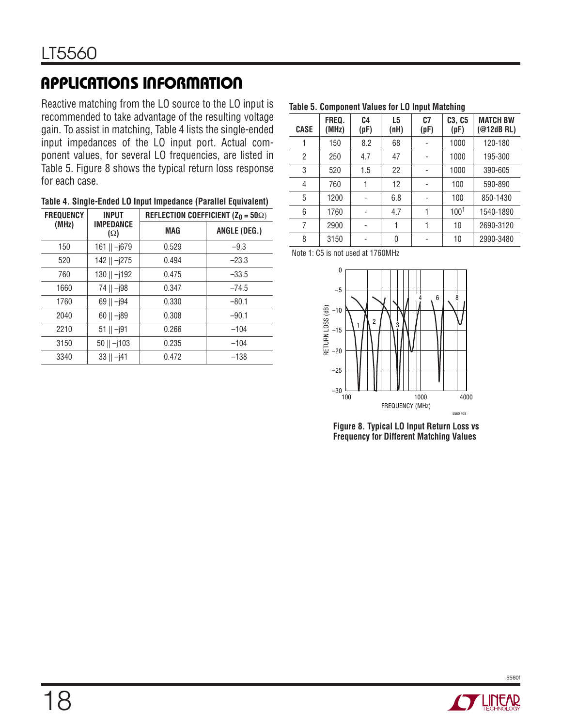Reactive matching from the LO source to the LO input is recommended to take advantage of the resulting voltage gain. To assist in matching, Table 4 lists the single-ended input impedances of the LO input port. Actual component values, for several LO frequencies, are listed in Table 5. Figure 8 shows the typical return loss response for each case.

| Table 4. Single-Ended LO Input Impedance (Parallel Equivalent) |  |
|----------------------------------------------------------------|--|
|----------------------------------------------------------------|--|

| <b>FREQUENCY</b> | <b>INPUT</b>                   | REFLECTION COEFFICIENT ( $Z_0 = 50\Omega$ ) |              |  |  |
|------------------|--------------------------------|---------------------------------------------|--------------|--|--|
| (MHz)            | <b>IMPEDANCE</b><br>$(\Omega)$ | MAG                                         | ANGLE (DEG.) |  |  |
| 150              | 161    -j679                   | 0.529                                       | $-9.3$       |  |  |
| 520              | $142$    $-j275$               | 0.494                                       | $-23.3$      |  |  |
| 760              | 130    -j192                   | 0.475                                       | $-33.5$      |  |  |
| 1660             | 74    -j98                     | 0.347                                       | $-74.5$      |  |  |
| 1760             | $69$    $ 194$                 | 0.330                                       | $-80.1$      |  |  |
| 2040             | $60$    $-j89$                 | 0.308                                       | $-90.1$      |  |  |
| 2210             | $51$    $-j91$                 | 0.266                                       | $-104$       |  |  |
| 3150             | $50$    $-j103$                | 0.235                                       | $-104$       |  |  |
| 3340             | 33    –j41                     | 0.472                                       | $-138$       |  |  |

**Table 5. Component Values for LO Input Matching**

| <b>CASE</b>    | FREQ.<br>(MHz) | C4<br>(pF) | L <sub>5</sub><br>(nH) | C7<br>(pF)     | C3, C5<br>(pF) | <b>MATCH BW</b><br>$(@12dB$ RL) |
|----------------|----------------|------------|------------------------|----------------|----------------|---------------------------------|
|                | 150            | 8.2        | 68                     |                | 1000           | 120-180                         |
| 2              | 250            | 4.7        | 47                     | $\overline{a}$ | 1000           | 195-300                         |
| 3              | 520            | 1.5        | 22                     | -              | 1000           | 390-605                         |
| $\overline{4}$ | 760            | 1          | 12                     |                | 100            | 590-890                         |
| 5              | 1200           |            | 6.8                    |                | 100            | 850-1430                        |
| 6              | 1760           |            | 4.7                    | 1              | $100^{1}$      | 1540-1890                       |
| 7              | 2900           |            |                        |                | 10             | 2690-3120                       |
| 8              | 3150           |            | 0                      |                | 10             | 2990-3480                       |

Note 1: C5 is not used at 1760MHz



**Figure 8. Typical LO Input Return Loss vs Frequency for Different Matching Values**

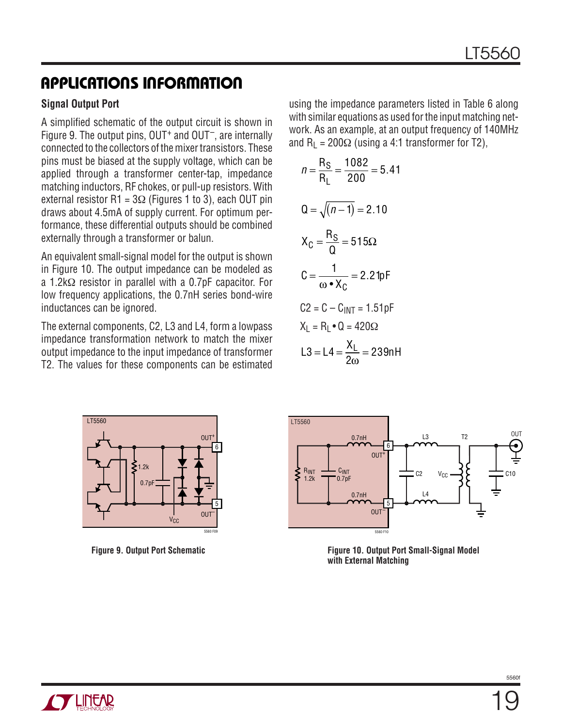#### **Signal Output Port**

A simplified schematic of the output circuit is shown in Figure 9. The output pins,  $OUT<sup>+</sup>$  and  $OUT<sup>-</sup>$ , are internally connected to the collectors of the mixer transistors. These pins must be biased at the supply voltage, which can be applied through a transformer center-tap, impedance matching inductors, RF chokes, or pull-up resistors. With external resistor R1 =  $3\Omega$  (Figures 1 to 3), each OUT pin draws about 4.5mA of supply current. For optimum performance, these differential outputs should be combined externally through a transformer or balun.

An equivalent small-signal model for the output is shown in Figure 10. The output impedance can be modeled as a 1.2kΩ resistor in parallel with a 0.7pF capacitor. For low frequency applications, the 0.7nH series bond-wire inductances can be ignored.

The external components, C2, L3 and L4, form a lowpass impedance transformation network to match the mixer output impedance to the input impedance of transformer T2. The values for these components can be estimated using the impedance parameters listed in Table 6 along with similar equations as used for the input matching network. As an example, at an output frequency of 140MHz and  $R_1 = 200\Omega$  (using a 4:1 transformer for T2),

$$
n = \frac{R_S}{R_L} = \frac{1082}{200} = 5.41
$$
  
\n
$$
Q = \sqrt{(n-1)} = 2.10
$$
  
\n
$$
X_C = \frac{R_S}{Q} = 515\Omega
$$
  
\n
$$
C = \frac{1}{\omega \cdot X_C} = 2.21pF
$$
  
\n
$$
C2 = C - C_{INT} = 1.51pF
$$
  
\n
$$
X_L = R_L \cdot Q = 420\Omega
$$
  
\n
$$
L3 = L4 = \frac{X_L}{2\omega} = 239nH
$$





**Figure 9. Output Port Schematic Figure 10. Output Port Small-Signal Model with External Matching**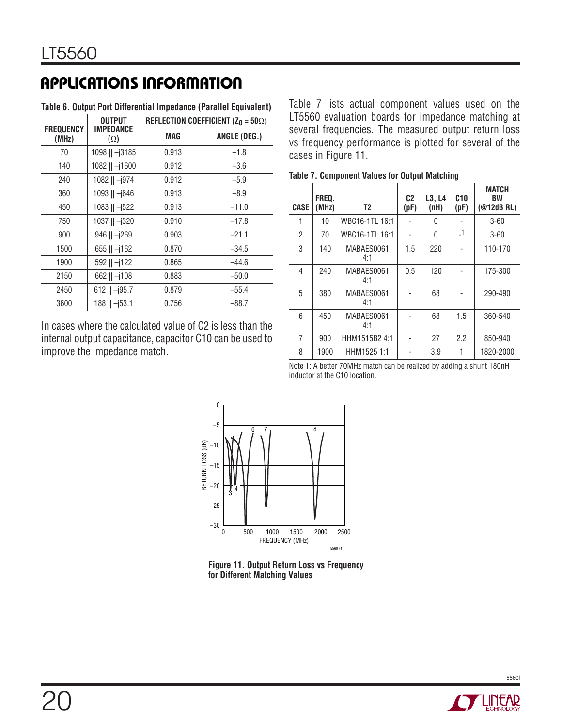|                           | <b>OUTPUT</b>                  | REFLECTION COEFFICIENT ( $Z_0 = 50\Omega$ ) |              |  |
|---------------------------|--------------------------------|---------------------------------------------|--------------|--|
| <b>FREQUENCY</b><br>(MHz) | <b>IMPEDANCE</b><br>$(\Omega)$ | MAG                                         | ANGLE (DEG.) |  |
| 70                        | 1098    -j3185                 | 0.913                                       | $-1.8$       |  |
| 140                       | 1082    -j1600                 | 0.912                                       | $-3.6$       |  |
| 240                       | 1082    -j974                  | 0.912                                       | $-5.9$       |  |
| 360                       | 1093    -j646                  | 0.913                                       | $-8.9$       |  |
| 450                       | $1083$    $-j522$              | 0.913                                       | $-11.0$      |  |
| 750                       | 1037    -j320                  | 0.910                                       | $-17.8$      |  |
| 900                       | $946$    $ 1269$               | 0.903                                       | $-21.1$      |  |
| 1500                      | $655$    $-$  162              | 0.870                                       | $-34.5$      |  |
| 1900                      | $592$    $-j122$               | 0.865                                       | $-44.6$      |  |
| 2150                      | $662$    $-$  108              | 0.883                                       | $-50.0$      |  |
| 2450                      | $612$    $-$  95.7             | 0.879                                       | $-55.4$      |  |
| 3600                      | $188$    $ 153.1$              | 0.756                                       | $-88.7$      |  |

**Table 6. Output Port Differential Impedance (Parallel Equivalent)**

In cases where the calculated value of C2 is less than the internal output capacitance, capacitor C10 can be used to improve the impedance match.

Table 7 lists actual component values used on the LT5560 evaluation boards for impedance matching at several frequencies. The measured output return loss vs frequency performance is plotted for several of the cases in Figure 11.

| <b>CASE</b> | FREQ.<br>(MHz) | T <sub>2</sub>    | C <sub>2</sub><br>(pF) | L3, L4<br>(nH) | C10<br>(pF)    | <b>MATCH</b><br><b>BW</b><br>$(@12dB$ RL) |
|-------------|----------------|-------------------|------------------------|----------------|----------------|-------------------------------------------|
| 1           | 10             | WBC16-1TL 16:1    |                        | 0              |                | $3 - 60$                                  |
| 2           | 70             | WBC16-1TL 16:1    |                        | 0              | $\overline{1}$ | $3 - 60$                                  |
| 3           | 140            | MABAES0061<br>4:1 | 1.5                    | 220            |                | 110-170                                   |
| 4           | 240            | MABAES0061<br>4:1 | 0.5                    | 120            |                | 175-300                                   |
| 5           | 380            | MABAES0061<br>4:1 |                        | 68             |                | 290-490                                   |
| 6           | 450            | MABAES0061<br>4:1 |                        | 68             | 1.5            | 360-540                                   |
| 7           | 900            | HHM1515B2 4:1     |                        | 27             | 2.2            | 850-940                                   |
| 8           | 1900           | HHM1525 1:1       |                        | 3.9            |                | 1820-2000                                 |

**Table 7. Component Values for Output Matching**

Note 1: A better 70MHz match can be realized by adding a shunt 180nH inductor at the C10 location.



**Figure 11. Output Return Loss vs Frequency for Different Matching Values**

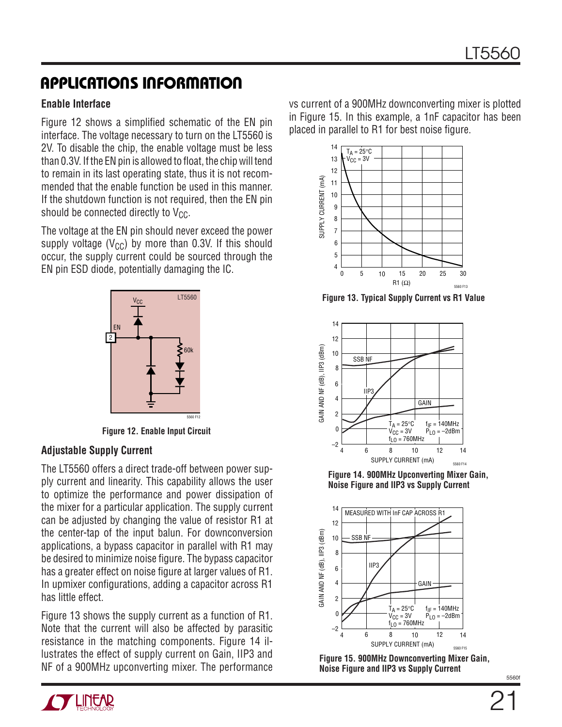#### **Enable Interface**

Figure 12 shows a simplified schematic of the EN pin interface. The voltage necessary to turn on the LT5560 is 2V. To disable the chip, the enable voltage must be less than 0.3V. If the EN pin is allowed to float, the chip will tend to remain in its last operating state, thus it is not recommended that the enable function be used in this manner. If the shutdown function is not required, then the EN pin should be connected directly to  $V_{CC}$ .

The voltage at the EN pin should never exceed the power supply voltage ( $V_{CC}$ ) by more than 0.3V. If this should occur, the supply current could be sourced through the EN pin ESD diode, potentially damaging the IC.



**Figure 12. Enable Input Circuit**

#### **Adjustable Supply Current**

The LT5560 offers a direct trade-off between power supply current and linearity. This capability allows the user to optimize the performance and power dissipation of the mixer for a particular application. The supply current can be adjusted by changing the value of resistor R1 at the center-tap of the input balun. For downconversion applications, a bypass capacitor in parallel with R1 may be desired to minimize noise figure. The bypass capacitor has a greater effect on noise figure at larger values of R1. In upmixer configurations, adding a capacitor across R1 has little effect.

Figure 13 shows the supply current as a function of R1. Note that the current will also be affected by parasitic resistance in the matching components. Figure 14 illustrates the effect of supply current on Gain, IIP3 and NF of a 900MHz upconverting mixer. The performance

vs current of a 900MHz downconverting mixer is plotted in Figure 15. In this example, a 1nF capacitor has been placed in parallel to R1 for best noise figure.



**Figure 13. Typical Supply Current vs R1 Value**



**Figure 14. 900MHz Upconverting Mixer Gain, Noise Figure and IIP3 vs Supply Current**



**Figure 15. 900MHz Downconverting Mixer Gain, Noise Figure and IIP3 vs Supply Current**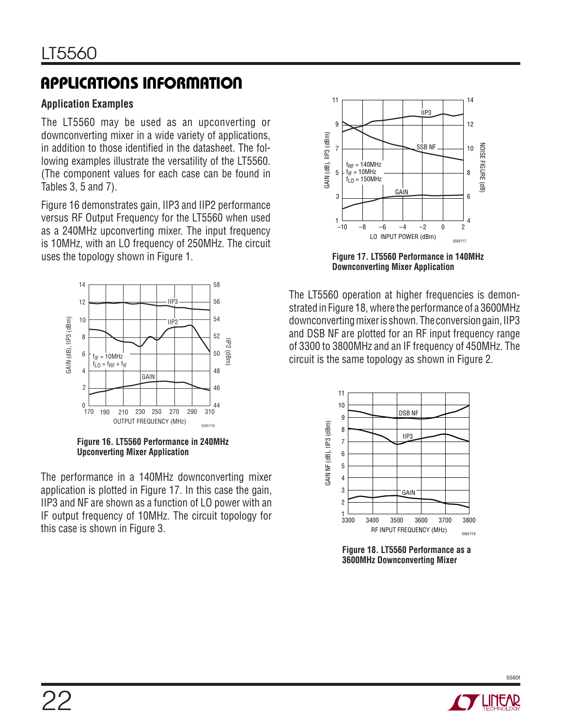### **Application Examples**

The LT5560 may be used as an upconverting or downconverting mixer in a wide variety of applications, in addition to those identified in the datasheet. The following examples illustrate the versatility of the LT5560. (The component values for each case can be found in Tables 3, 5 and 7).

Figure 16 demonstrates gain, IIP3 and IIP2 performance versus RF Output Frequency for the LT5560 when used as a 240MHz upconverting mixer. The input frequency is 10MHz, with an LO frequency of 250MHz. The circuit uses the topology shown in Figure 1.



**Figure 16. LT5560 Performance in 240MHz Upconverting Mixer Application** 

The performance in a 140MHz downconverting mixer application is plotted in Figure 17. In this case the gain, IIP3 and NF are shown as a function of LO power with an IF output frequency of 10MHz. The circuit topology for this case is shown in Figure 3.



**Figure 17. LT5560 Performance in 140MHz Downconverting Mixer Application**

The LT5560 operation at higher frequencies is demonstrated in Figure 18, where the performance of a 3600MHz downconverting mixer is shown. The conversion gain, IIP3 and DSB NF are plotted for an RF input frequency range of 3300 to 3800MHz and an IF frequency of 450MHz. The circuit is the same topology as shown in Figure 2.



**Figure 18. LT5560 Performance as a 3600MHz Downconverting Mixer**

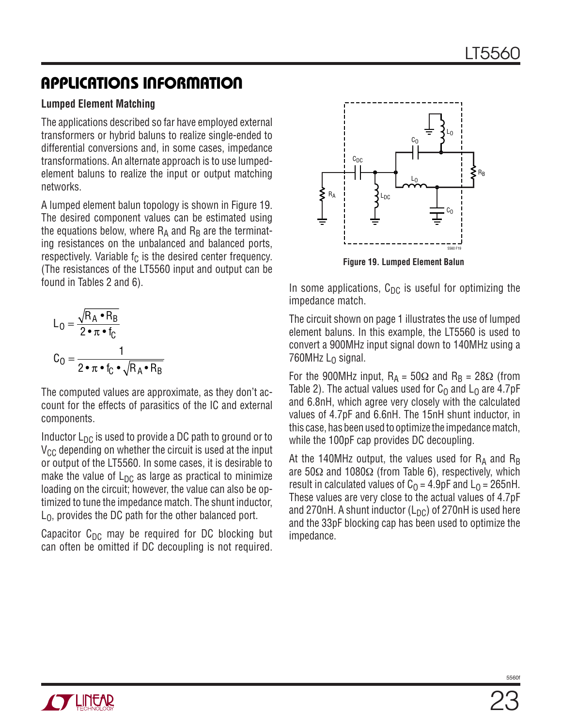#### **Lumped Element Matching**

The applications described so far have employed external transformers or hybrid baluns to realize single-ended to differential conversions and, in some cases, impedance transformations. An alternate approach is to use lumpedelement baluns to realize the input or output matching networks.

A lumped element balun topology is shown in Figure 19. The desired component values can be estimated using the equations below, where  $R_A$  and  $R_B$  are the terminating resistances on the unbalanced and balanced ports, respectively. Variable  $f_C$  is the desired center frequency. (The resistances of the LT5560 input and output can be found in Tables 2 and 6).

$$
L_0 = \frac{\sqrt{R_A \cdot R_B}}{2 \cdot \pi \cdot f_C}
$$

$$
C_0 = \frac{1}{2 \cdot \pi \cdot f_C \cdot \sqrt{R_A \cdot R_B}}
$$

The computed values are approximate, as they don't account for the effects of parasitics of the IC and external components.

Inductor  $L_{\text{DC}}$  is used to provide a DC path to ground or to  $V_{CC}$  depending on whether the circuit is used at the input or output of the LT5560. In some cases, it is desirable to make the value of  $L_{DC}$  as large as practical to minimize loading on the circuit; however, the value can also be optimized to tune the impedance match. The shunt inductor,  $L_0$ , provides the DC path for the other balanced port.

Capacitor  $C_{DC}$  may be required for DC blocking but can often be omitted if DC decoupling is not required.



**Figure 19. Lumped Element Balun**

In some applications,  $C_{DC}$  is useful for optimizing the impedance match.

The circuit shown on page 1 illustrates the use of lumped element baluns. In this example, the LT5560 is used to convert a 900MHz input signal down to 140MHz using a 760MHz  $L_0$  signal.

For the 900MHz input,  $R_A = 50\Omega$  and  $R_B = 28\Omega$  (from Table 2). The actual values used for  $C_0$  and  $L_0$  are 4.7pF and 6.8nH, which agree very closely with the calculated values of 4.7pF and 6.6nH. The 15nH shunt inductor, in this case, has been used to optimize the impedance match, while the 100pF cap provides DC decoupling.

At the 140MHz output, the values used for  $R_A$  and  $R_B$ are 50Ω and 1080Ω (from Table 6), respectively, which result in calculated values of  $C_0 = 4.9pF$  and  $L_0 = 265nH$ . These values are very close to the actual values of 4.7pF and 270nH. A shunt inductor  $(L_{DC})$  of 270nH is used here and the 33pF blocking cap has been used to optimize the impedance.

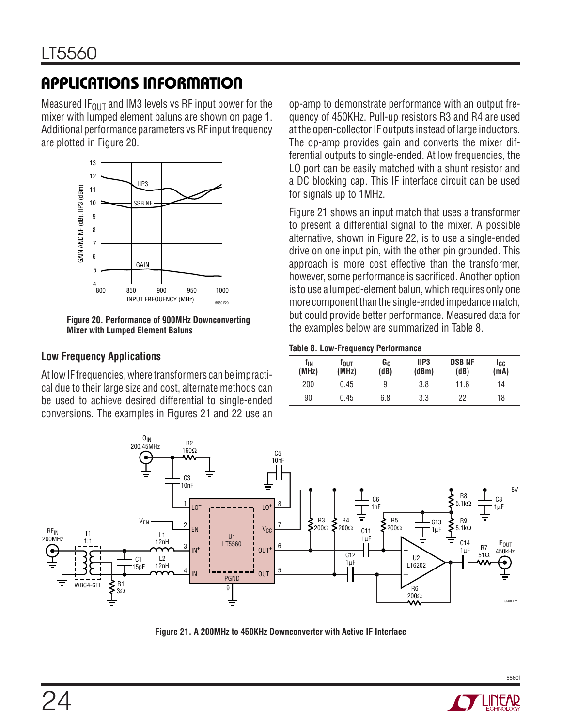Measured IF<sub>OUT</sub> and IM3 levels vs RF input power for the mixer with lumped element baluns are shown on page 1. Additional performance parameters vs RF input frequency are plotted in Figure 20.



**Figure 20. Performance of 900MHz Downconverting Mixer with Lumped Element Baluns**

#### **Low Frequency Applications**

At low IF frequencies, where transformers can be impractical due to their large size and cost, alternate methods can be used to achieve desired differential to single-ended conversions. The examples in Figures 21 and 22 use an op-amp to demonstrate performance with an output frequency of 450KHz. Pull-up resistors R3 and R4 are used at the open-collector IF outputs instead of large inductors. The op-amp provides gain and converts the mixer differential outputs to single-ended. At low frequencies, the LO port can be easily matched with a shunt resistor and a DC blocking cap. This IF interface circuit can be used for signals up to 1MHz.

Figure 21 shows an input match that uses a transformer to present a differential signal to the mixer. A possible alternative, shown in Figure 22, is to use a single-ended drive on one input pin, with the other pin grounded. This approach is more cost effective than the transformer, however, some performance is sacrificed. Another option is to use a lumped-element balun, which requires only one more component than the single-ended impedance match, but could provide better performance. Measured data for the examples below are summarized in Table 8.

#### **Table 8. Low-Frequency Performance**

| fın<br>(MHz) | Tout<br>(MHz) | Gc<br>(dB) | IIP <sub>3</sub><br>(dBm) | <b>DSB NF</b><br>(dB) | lcc<br>(mA) |
|--------------|---------------|------------|---------------------------|-----------------------|-------------|
| 200          | 0.45          | 9          | 3.8                       | 11.6                  | 14          |
| 90           | 0.45          | 6.8        | 3.3                       | 22                    | 18          |



**Figure 21. A 200MHz to 450KHz Downconverter with Active IF Interface**

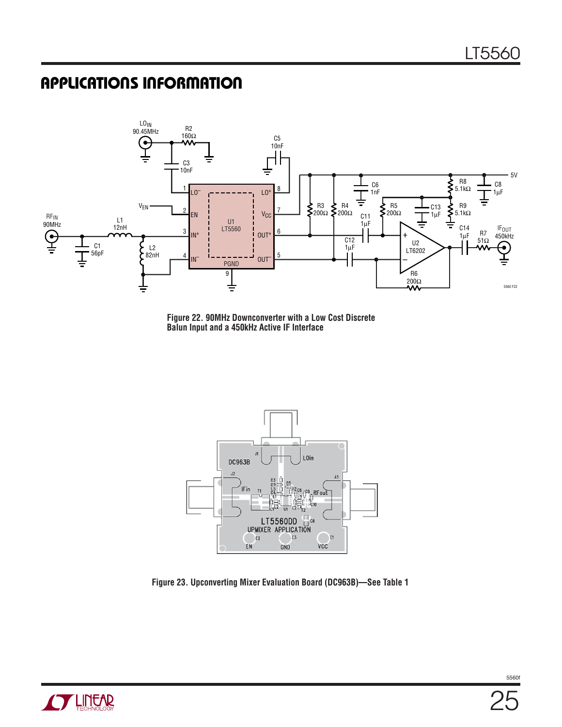

**Figure 22. 90MHz Downconverter with a Low Cost Discrete Balun Input and a 450kHz Active IF Interface**



**Figure 23. Upconverting Mixer Evaluation Board (DC963B)—See Table 1** 

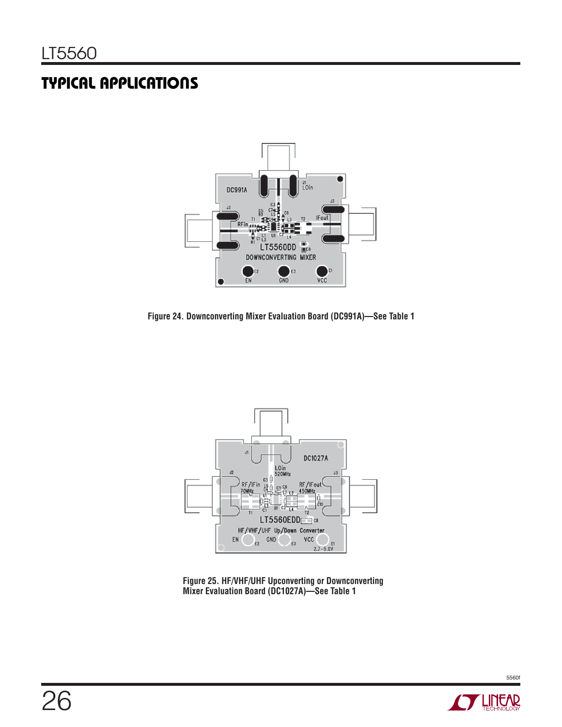# **TYPICAL APPLICATIONS**



**Figure 24. Downconverting Mixer Evaluation Board (DC991A)—See Table 1** 



**Figure 25. HF/VHF/UHF Upconverting or Downconverting Mixer Evaluation Board (DC1027A)—See Table 1** 

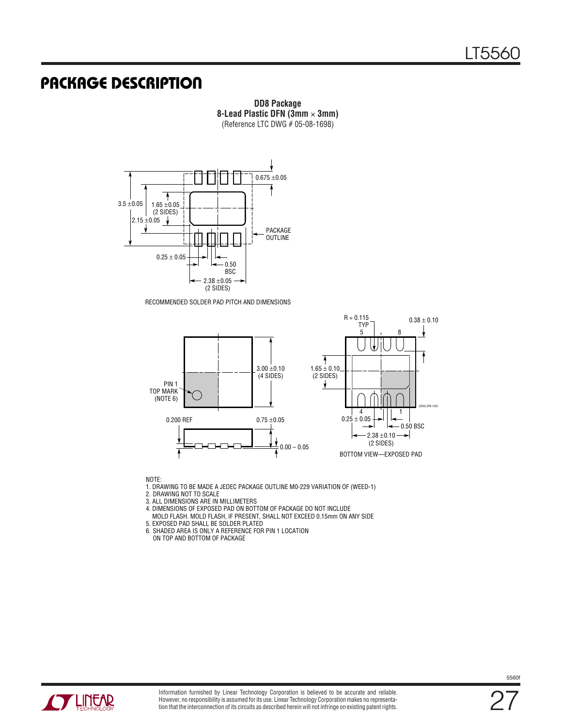### **PACKAGE DESCRIPTION**



RECOMMENDED SOLDER PAD PITCH AND DIMENSIONS



**DD8 Package 8-Lead Plastic DFN (3mm** × **3mm)** (Reference LTC DWG # 05-08-1698)

NOTE:

1. DRAWING TO BE MADE A JEDEC PACKAGE OUTLINE M0-229 VARIATION OF (WEED-1)

2. DRAWING NOT TO SCALE

3. ALL DIMENSIONS ARE IN MILLIMETERS

4. DIMENSIONS OF EXPOSED PAD ON BOTTOM OF PACKAGE DO NOT INCLUDE

MOLD FLASH. MOLD FLASH, IF PRESENT, SHALL NOT EXCEED 0.15mm ON ANY SIDE

5. EXPOSED PAD SHALL BE SOLDER PLATED

6. SHADED AREA IS ONLY A REFERENCE FOR PIN 1 LOCATION

ON TOP AND BOTTOM OF PACKAGE